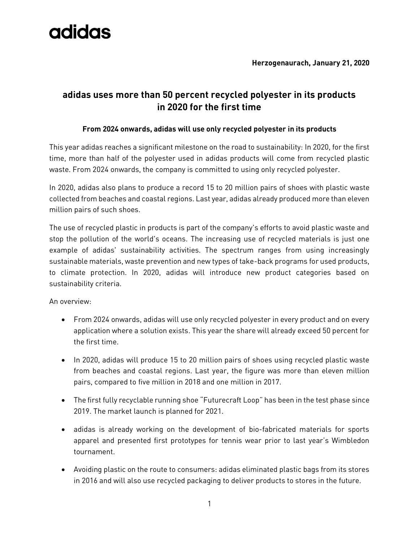**Herzogenaurach, January 21, 2020**

### **adidas uses more than 50 percent recycled polyester in its products in 2020 for the first time**

### **From 2024 onwards, adidas will use only recycled polyester in its products**

This year adidas reaches a significant milestone on the road to sustainability: In 2020, for the first time, more than half of the polyester used in adidas products will come from recycled plastic waste. From 2024 onwards, the company is committed to using only recycled polyester.

In 2020, adidas also plans to produce a record 15 to 20 million pairs of shoes with plastic waste collected from beaches and coastal regions. Last year, adidas already produced more than eleven million pairs of such shoes.

The use of recycled plastic in products is part of the company's efforts to avoid plastic waste and stop the pollution of the world's oceans. The increasing use of recycled materials is just one example of adidas' sustainability activities. The spectrum ranges from using increasingly sustainable materials, waste prevention and new types of take-back programs for used products, to climate protection. In 2020, adidas will introduce new product categories based on sustainability criteria.

An overview:

- From 2024 onwards, adidas will use only recycled polyester in every product and on every application where a solution exists. This year the share will already exceed 50 percent for the first time.
- In 2020, adidas will produce 15 to 20 million pairs of shoes using recycled plastic waste from beaches and coastal regions. Last year, the figure was more than eleven million pairs, compared to five million in 2018 and one million in 2017.
- The first fully recyclable running shoe "Futurecraft Loop" has been in the test phase since 2019. The market launch is planned for 2021.
- adidas is already working on the development of bio-fabricated materials for sports apparel and presented first prototypes for tennis wear prior to last year's Wimbledon tournament.
- Avoiding plastic on the route to consumers: adidas eliminated plastic bags from its stores in 2016 and will also use recycled packaging to deliver products to stores in the future.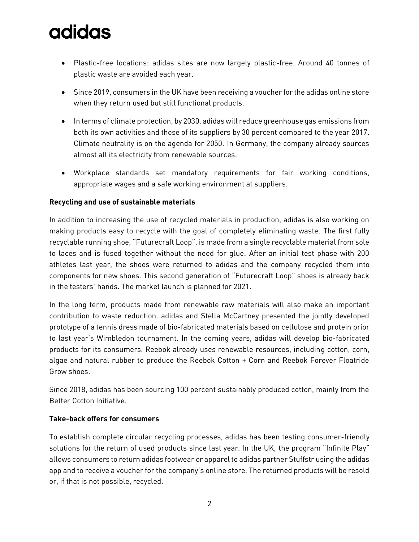- Plastic-free locations: adidas sites are now largely plastic-free. Around 40 tonnes of plastic waste are avoided each year.
- Since 2019, consumers in the UK have been receiving a voucher for the adidas online store when they return used but still functional products.
- In terms of climate protection, by 2030, adidas will reduce greenhouse gas emissions from both its own activities and those of its suppliers by 30 percent compared to the year 2017. Climate neutrality is on the agenda for 2050. In Germany, the company already sources almost all its electricity from renewable sources.
- Workplace standards set mandatory requirements for fair working conditions, appropriate wages and a safe working environment at suppliers.

### **Recycling and use of sustainable materials**

In addition to increasing the use of recycled materials in production, adidas is also working on making products easy to recycle with the goal of completely eliminating waste. The first fully recyclable running shoe, "Futurecraft Loop", is made from a single recyclable material from sole to laces and is fused together without the need for glue. After an initial test phase with 200 athletes last year, the shoes were returned to adidas and the company recycled them into components for new shoes. This second generation of "Futurecraft Loop" shoes is already back in the testers' hands. The market launch is planned for 2021.

In the long term, products made from renewable raw materials will also make an important contribution to waste reduction. adidas and Stella McCartney presented the jointly developed prototype of a tennis dress made of bio-fabricated materials based on cellulose and protein prior to last year's Wimbledon tournament. In the coming years, adidas will develop bio-fabricated products for its consumers. Reebok already uses renewable resources, including cotton, corn, algae and natural rubber to produce the Reebok Cotton + Corn and Reebok Forever Floatride Grow shoes.

Since 2018, adidas has been sourcing 100 percent sustainably produced cotton, mainly from the Better Cotton Initiative.

#### **Take-back offers for consumers**

To establish complete circular recycling processes, adidas has been testing consumer-friendly solutions for the return of used products since last year. In the UK, the program "Infinite Play" allows consumers to return adidas footwear or apparel to adidas partner Stuffstr using the adidas app and to receive a voucher for the company's online store. The returned products will be resold or, if that is not possible, recycled.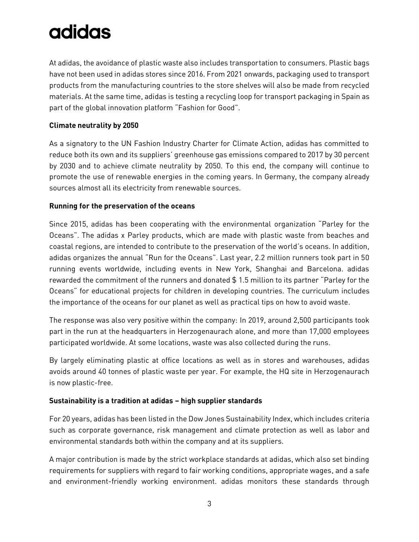At adidas, the avoidance of plastic waste also includes transportation to consumers. Plastic bags have not been used in adidas stores since 2016. From 2021 onwards, packaging used to transport products from the manufacturing countries to the store shelves will also be made from recycled materials. At the same time, adidas is testing a recycling loop for transport packaging in Spain as part of the global innovation platform "Fashion for Good".

### **Climate neutrality by 2050**

As a signatory to the UN Fashion Industry Charter for Climate Action, adidas has committed to reduce both its own and its suppliers' greenhouse gas emissions compared to 2017 by 30 percent by 2030 and to achieve climate neutrality by 2050. To this end, the company will continue to promote the use of renewable energies in the coming years. In Germany, the company already sources almost all its electricity from renewable sources.

#### **Running for the preservation of the oceans**

Since 2015, adidas has been cooperating with the environmental organization "Parley for the Oceans". The adidas x Parley products, which are made with plastic waste from beaches and coastal regions, are intended to contribute to the preservation of the world's oceans. In addition, adidas organizes the annual "Run for the Oceans". Last year, 2.2 million runners took part in 50 running events worldwide, including events in New York, Shanghai and Barcelona. adidas rewarded the commitment of the runners and donated \$ 1.5 million to its partner "Parley for the Oceans" for educational projects for children in developing countries. The curriculum includes the importance of the oceans for our planet as well as practical tips on how to avoid waste.

The response was also very positive within the company: In 2019, around 2,500 participants took part in the run at the headquarters in Herzogenaurach alone, and more than 17,000 employees participated worldwide. At some locations, waste was also collected during the runs.

By largely eliminating plastic at office locations as well as in stores and warehouses, adidas avoids around 40 tonnes of plastic waste per year. For example, the HQ site in Herzogenaurach is now plastic-free.

### **Sustainability is a tradition at adidas – high supplier standards**

For 20 years, adidas has been listed in the Dow Jones Sustainability Index, which includes criteria such as corporate governance, risk management and climate protection as well as labor and environmental standards both within the company and at its suppliers.

A major contribution is made by the strict workplace standards at adidas, which also set binding requirements for suppliers with regard to fair working conditions, appropriate wages, and a safe and environment-friendly working environment. adidas monitors these standards through